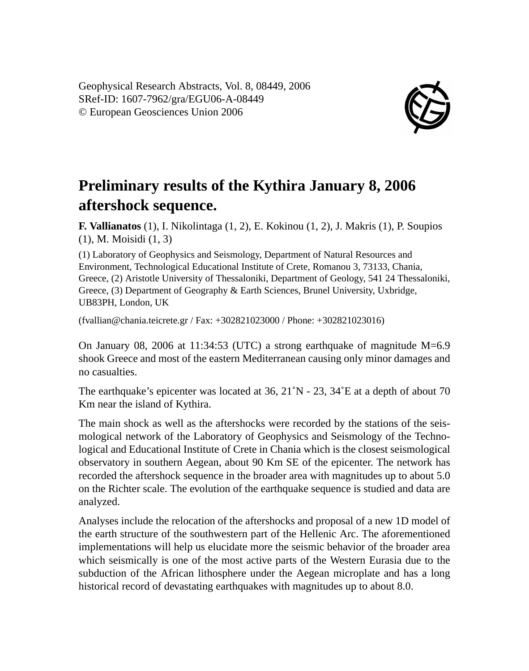Geophysical Research Abstracts, Vol. 8, 08449, 2006 SRef-ID: 1607-7962/gra/EGU06-A-08449 © European Geosciences Union 2006



## **Preliminary results of the Kythira January 8, 2006 aftershock sequence.**

**F. Vallianatos** (1), I. Nikolintaga (1, 2), E. Kokinou (1, 2), J. Makris (1), P. Soupios (1), M. Moisidi (1, 3)

(1) Laboratory of Geophysics and Seismology, Department of Natural Resources and Environment, Technological Educational Institute of Crete, Romanou 3, 73133, Chania, Greece, (2) Aristotle University of Thessaloniki, Department of Geology, 541 24 Thessaloniki, Greece, (3) Department of Geography & Earth Sciences, Brunel University, Uxbridge, UB83PH, London, UK

(fvallian@chania.teicrete.gr / Fax: +302821023000 / Phone: +302821023016)

On January 08, 2006 at 11:34:53 (UTC) a strong earthquake of magnitude M=6.9 shook Greece and most of the eastern Mediterranean causing only minor damages and no casualties.

The earthquake's epicenter was located at  $36$ ,  $21^{\circ}$ N -  $23$ ,  $34^{\circ}$ E at a depth of about 70 Km near the island of Kythira.

The main shock as well as the aftershocks were recorded by the stations of the seismological network of the Laboratory of Geophysics and Seismology of the Technological and Educational Institute of Crete in Chania which is the closest seismological observatory in southern Aegean, about 90 Km SE of the epicenter. The network has recorded the aftershock sequence in the broader area with magnitudes up to about 5.0 on the Richter scale. The evolution of the earthquake sequence is studied and data are analyzed.

Analyses include the relocation of the aftershocks and proposal of a new 1D model of the earth structure of the southwestern part of the Hellenic Arc. The aforementioned implementations will help us elucidate more the seismic behavior of the broader area which seismically is one of the most active parts of the Western Eurasia due to the subduction of the African lithosphere under the Aegean microplate and has a long historical record of devastating earthquakes with magnitudes up to about 8.0.